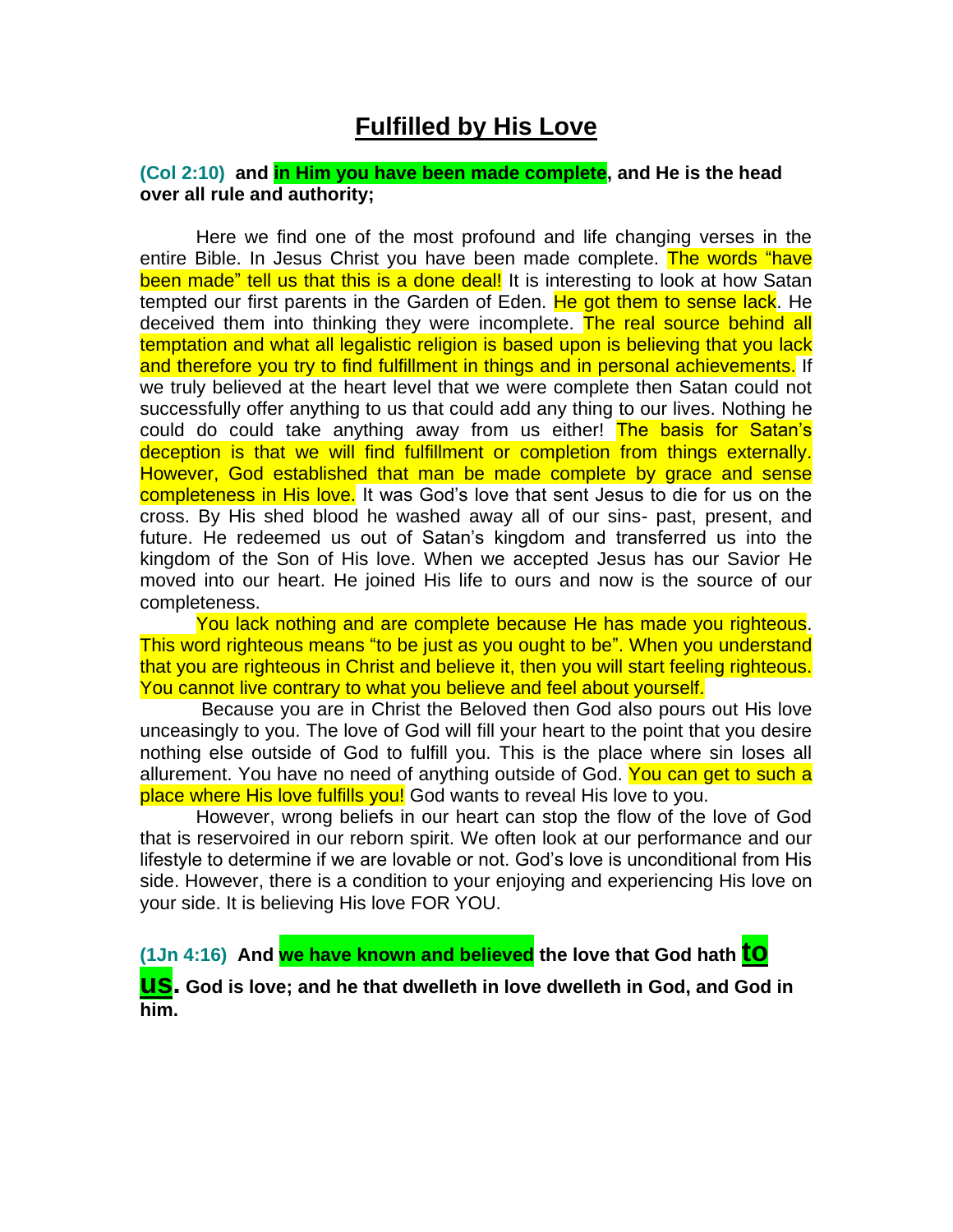## **Fulfilled by His Love**

## **(Col 2:10) and in Him you have been made complete, and He is the head over all rule and authority;**

Here we find one of the most profound and life changing verses in the entire Bible. In Jesus Christ you have been made complete. The words "have been made" tell us that this is a done deal! It is interesting to look at how Satan tempted our first parents in the Garden of Eden. He got them to sense lack. He deceived them into thinking they were incomplete. The real source behind all temptation and what all legalistic religion is based upon is believing that you lack and therefore you try to find fulfillment in things and in personal achievements. If we truly believed at the heart level that we were complete then Satan could not successfully offer anything to us that could add any thing to our lives. Nothing he could do could take anything away from us either! The basis for Satan's deception is that we will find fulfillment or completion from things externally. However, God established that man be made complete by grace and sense completeness in His love. It was God's love that sent Jesus to die for us on the cross. By His shed blood he washed away all of our sins- past, present, and future. He redeemed us out of Satan's kingdom and transferred us into the kingdom of the Son of His love. When we accepted Jesus has our Savior He moved into our heart. He joined His life to ours and now is the source of our completeness.

You lack nothing and are complete because He has made you righteous. This word righteous means "to be just as you ought to be". When you understand that you are righteous in Christ and believe it, then you will start feeling righteous. You cannot live contrary to what you believe and feel about yourself.

Because you are in Christ the Beloved then God also pours out His love unceasingly to you. The love of God will fill your heart to the point that you desire nothing else outside of God to fulfill you. This is the place where sin loses all allurement. You have no need of anything outside of God. You can get to such a place where His love fulfills you! God wants to reveal His love to you.

However, wrong beliefs in our heart can stop the flow of the love of God that is reservoired in our reborn spirit. We often look at our performance and our lifestyle to determine if we are lovable or not. God's love is unconditional from His side. However, there is a condition to your enjoying and experiencing His love on your side. It is believing His love FOR YOU.

**(1Jn 4:16) And we have known and believed the love that God hath to** 

**us. God is love; and he that dwelleth in love dwelleth in God, and God in him.**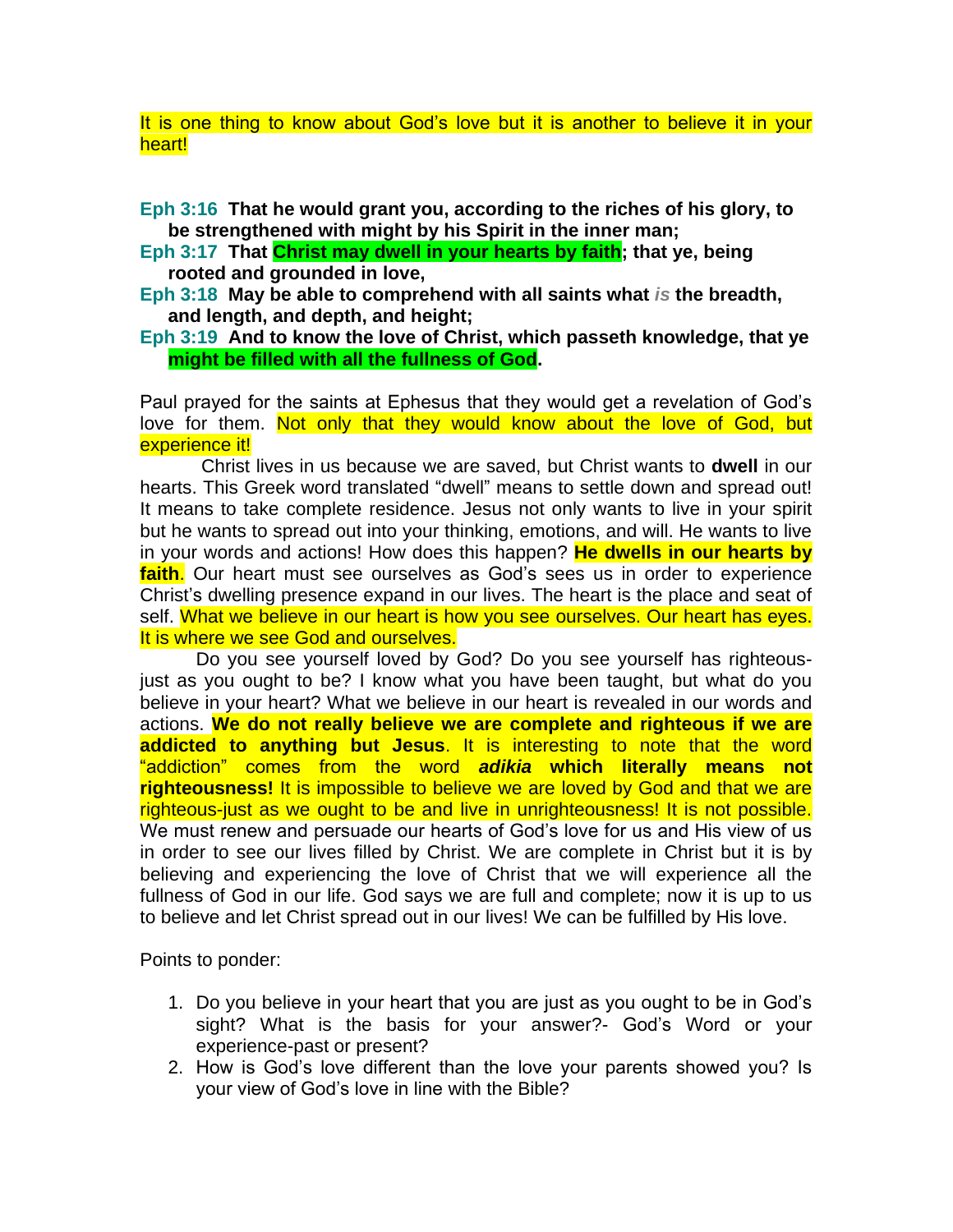It is one thing to know about God's love but it is another to believe it in your heart!

**Eph 3:16 That he would grant you, according to the riches of his glory, to be strengthened with might by his Spirit in the inner man;** 

- **Eph 3:17 That Christ may dwell in your hearts by faith; that ye, being rooted and grounded in love,**
- **Eph 3:18 May be able to comprehend with all saints what** *is* **the breadth, and length, and depth, and height;**
- **Eph 3:19 And to know the love of Christ, which passeth knowledge, that ye might be filled with all the fullness of God.**

Paul prayed for the saints at Ephesus that they would get a revelation of God's love for them. Not only that they would know about the love of God, but experience it!

Christ lives in us because we are saved, but Christ wants to **dwell** in our hearts. This Greek word translated "dwell" means to settle down and spread out! It means to take complete residence. Jesus not only wants to live in your spirit but he wants to spread out into your thinking, emotions, and will. He wants to live in your words and actions! How does this happen? **He dwells in our hearts by faith**. Our heart must see ourselves as God's sees us in order to experience Christ's dwelling presence expand in our lives. The heart is the place and seat of self. What we believe in our heart is how you see ourselves. Our heart has eyes. It is where we see God and ourselves.

Do you see yourself loved by God? Do you see yourself has righteousjust as you ought to be? I know what you have been taught, but what do you believe in your heart? What we believe in our heart is revealed in our words and actions. **We do not really believe we are complete and righteous if we are addicted to anything but Jesus**. It is interesting to note that the word "addiction" comes from the word *adikia* **which literally means not righteousness!** It is impossible to believe we are loved by God and that we are righteous-just as we ought to be and live in unrighteousness! It is not possible. We must renew and persuade our hearts of God's love for us and His view of us in order to see our lives filled by Christ. We are complete in Christ but it is by believing and experiencing the love of Christ that we will experience all the fullness of God in our life. God says we are full and complete; now it is up to us to believe and let Christ spread out in our lives! We can be fulfilled by His love.

Points to ponder:

- 1. Do you believe in your heart that you are just as you ought to be in God's sight? What is the basis for your answer?- God's Word or your experience-past or present?
- 2. How is God's love different than the love your parents showed you? Is your view of God's love in line with the Bible?